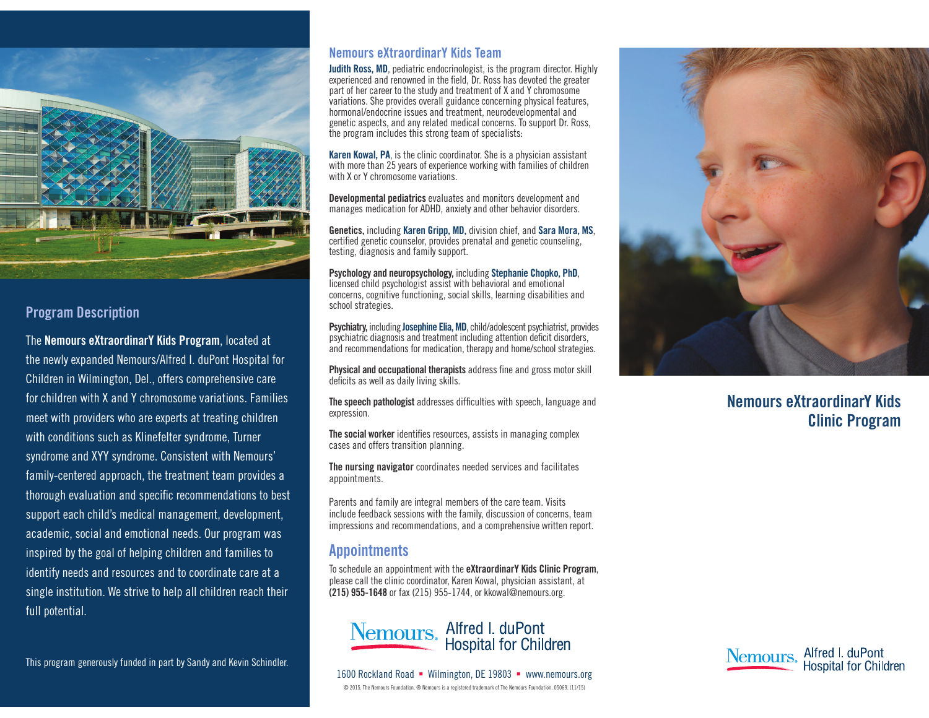

### Program Description

The Nemours eXtraordinarY Kids Program, located at the newly expanded Nemours/Alfred I. duPont Hospital for Children in Wilmington, Del., offers comprehensive care for children with X and Y chromosome variations. Families meet with providers who are experts at treating children with conditions such as Klinefelter syndrome, Turner syndrome and XYY syndrome. Consistent with Nemours' family-centered approach, the treatment team provides a thorough evaluation and specific recommendations to best support each child's medical management, development, academic, social and emotional needs. Our program was inspired by the goal of helping children and families to identify needs and resources and to coordinate care at a single institution. We strive to help all children reach their full potential.

This program generously funded in part by Sandy and Kevin Schindler.

#### Nemours eXtraordinarY Kids Team

**Judith Ross, MD**, pediatric endocrinologist, is the program director. Highly experienced and renowned in the field, Dr. Ross has devoted the greater part of her career to the study and treatment of X and Y chromosome variations. She provides overall guidance concerning physical features, hormonal/endocrine issues and treatment, neurodevelopmental and genetic aspects, and any related medical concerns. To support Dr. Ross, the program includes this strong team of specialists:

Karen Kowal, PA, is the clinic coordinator. She is a physician assistant with more than 25 years of experience working with families of children with X or Y chromosome variations.

Developmental pediatrics evaluates and monitors development and manages medication for ADHD, anxiety and other behavior disorders.

Genetics, including Karen Gripp, MD, division chief, and Sara Mora, MS, certified genetic counselor, provides prenatal and genetic counseling, testing, diagnosis and family support.

Psychology and neuropsychology, including Stephanie Chopko, PhD, licensed child psychologist assist with behavioral and emotional concerns, cognitive functioning, social skills, learning disabilities and school strategies.

Psychiatry, including Josephine Elia, MD, child/adolescent psychiatrist, provides psychiatric diagnosis and treatment including attention deficit disorders, and recommendations for medication, therapy and home/school strategies.

Physical and occupational therapists address fine and gross motor skill deficits as well as daily living skills.

The speech pathologist addresses difficulties with speech, language and expression.

The social worker identifies resources, assists in managing complex cases and offers transition planning.

The nursing navigator coordinates needed services and facilitates appointments.

Parents and family are integral members of the care team. Visits include feedback sessions with the family, discussion of concerns, team impressions and recommendations, and a comprehensive written report.

### **Appointments**

To schedule an appointment with the eXtraordinarY Kids Clinic Program, please call the clinic coordinator, Karen Kowal, physician assistant, at (215) 955-1648 or fax (215) 955-1744, or kkowal@nemours.org.







# Nemours eXtraordinarY Kids Clinic Program